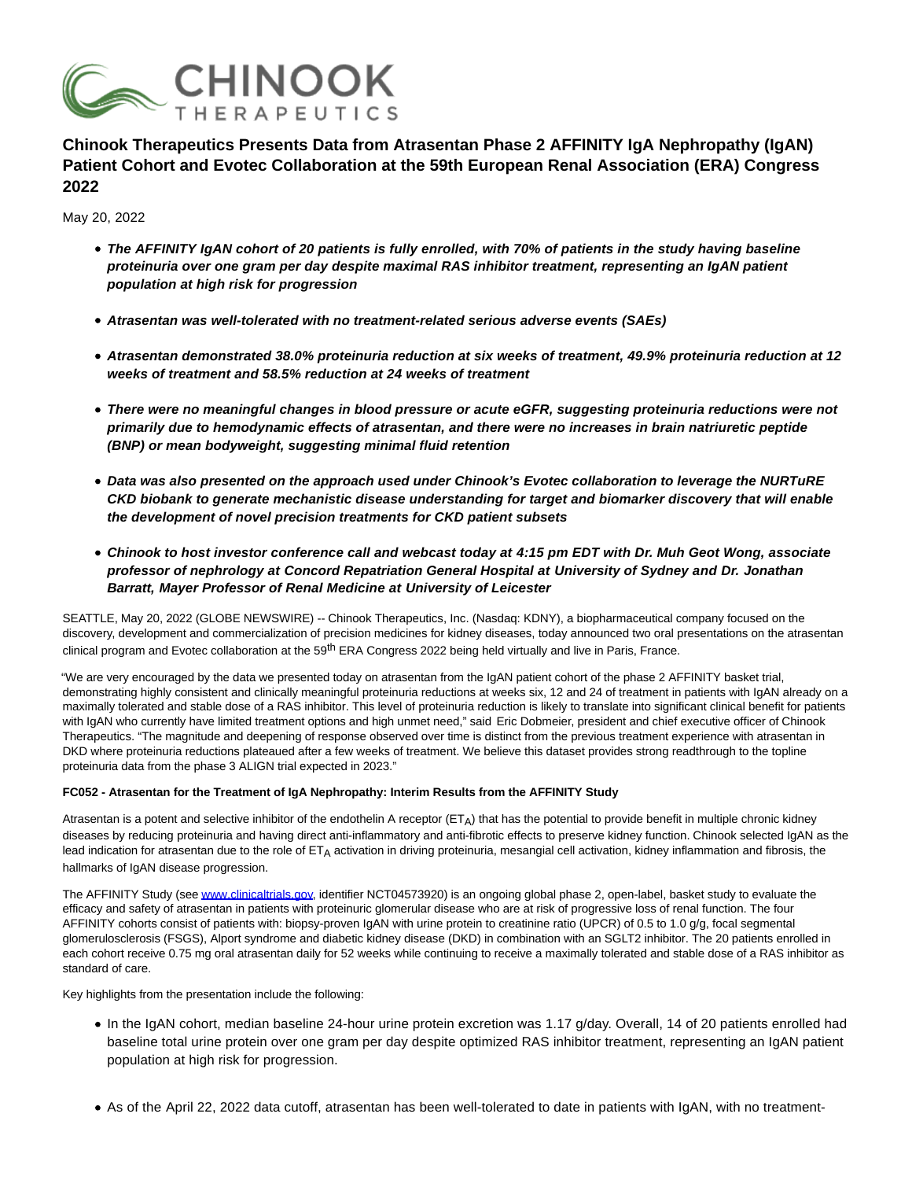

**Chinook Therapeutics Presents Data from Atrasentan Phase 2 AFFINITY IgA Nephropathy (IgAN) Patient Cohort and Evotec Collaboration at the 59th European Renal Association (ERA) Congress 2022**

May 20, 2022

- **The AFFINITY IgAN cohort of 20 patients is fully enrolled, with 70% of patients in the study having baseline proteinuria over one gram per day despite maximal RAS inhibitor treatment, representing an IgAN patient population at high risk for progression**
- **Atrasentan was well-tolerated with no treatment-related serious adverse events (SAEs)**
- **Atrasentan demonstrated 38.0% proteinuria reduction at six weeks of treatment, 49.9% proteinuria reduction at 12 weeks of treatment and 58.5% reduction at 24 weeks of treatment**
- **There were no meaningful changes in blood pressure or acute eGFR, suggesting proteinuria reductions were not primarily due to hemodynamic effects of atrasentan, and there were no increases in brain natriuretic peptide (BNP) or mean bodyweight, suggesting minimal fluid retention**
- **Data was also presented on the approach used under Chinook's Evotec collaboration to leverage the NURTuRE CKD biobank to generate mechanistic disease understanding for target and biomarker discovery that will enable the development of novel precision treatments for CKD patient subsets**
- **Chinook to host investor conference call and webcast today at 4:15 pm EDT with Dr. Muh Geot Wong, associate professor of nephrology at Concord Repatriation General Hospital at University of Sydney and Dr. Jonathan Barratt, Mayer Professor of Renal Medicine at University of Leicester**

SEATTLE, May 20, 2022 (GLOBE NEWSWIRE) -- Chinook Therapeutics, Inc. (Nasdaq: KDNY), a biopharmaceutical company focused on the discovery, development and commercialization of precision medicines for kidney diseases, today announced two oral presentations on the atrasentan clinical program and Evotec collaboration at the 59<sup>th</sup> ERA Congress 2022 being held virtually and live in Paris, France.

"We are very encouraged by the data we presented today on atrasentan from the IgAN patient cohort of the phase 2 AFFINITY basket trial, demonstrating highly consistent and clinically meaningful proteinuria reductions at weeks six, 12 and 24 of treatment in patients with IgAN already on a maximally tolerated and stable dose of a RAS inhibitor. This level of proteinuria reduction is likely to translate into significant clinical benefit for patients with IgAN who currently have limited treatment options and high unmet need," said Eric Dobmeier, president and chief executive officer of Chinook Therapeutics. "The magnitude and deepening of response observed over time is distinct from the previous treatment experience with atrasentan in DKD where proteinuria reductions plateaued after a few weeks of treatment. We believe this dataset provides strong readthrough to the topline proteinuria data from the phase 3 ALIGN trial expected in 2023."

# **FC052 - Atrasentan for the Treatment of IgA Nephropathy: Interim Results from the AFFINITY Study**

Atrasentan is a potent and selective inhibitor of the endothelin A receptor (ET<sub>A</sub>) that has the potential to provide benefit in multiple chronic kidney diseases by reducing proteinuria and having direct anti-inflammatory and anti-fibrotic effects to preserve kidney function. Chinook selected IgAN as the lead indication for atrasentan due to the role of ET<sub>A</sub> activation in driving proteinuria, mesangial cell activation, kidney inflammation and fibrosis, the hallmarks of IgAN disease progression.

The AFFINITY Study (se[e www.clinicaltrials.gov,](https://www.globenewswire.com/Tracker?data=DcDio-8FcNtm0N8T3fm3tbkWgEYz9iovUzG79AvG6r7tAln1d3--q80SOJRc7qkMsZ8u9U2-IS8JHV-_ZhL_XUp93eyc7ezqrno6USzs-WM=) identifier NCT04573920) is an ongoing global phase 2, open-label, basket study to evaluate the efficacy and safety of atrasentan in patients with proteinuric glomerular disease who are at risk of progressive loss of renal function. The four AFFINITY cohorts consist of patients with: biopsy-proven IgAN with urine protein to creatinine ratio (UPCR) of 0.5 to 1.0 g/g, focal segmental glomerulosclerosis (FSGS), Alport syndrome and diabetic kidney disease (DKD) in combination with an SGLT2 inhibitor. The 20 patients enrolled in each cohort receive 0.75 mg oral atrasentan daily for 52 weeks while continuing to receive a maximally tolerated and stable dose of a RAS inhibitor as standard of care.

Key highlights from the presentation include the following:

- In the IgAN cohort, median baseline 24-hour urine protein excretion was 1.17 g/day. Overall, 14 of 20 patients enrolled had baseline total urine protein over one gram per day despite optimized RAS inhibitor treatment, representing an IgAN patient population at high risk for progression.
- As of the April 22, 2022 data cutoff, atrasentan has been well-tolerated to date in patients with IgAN, with no treatment-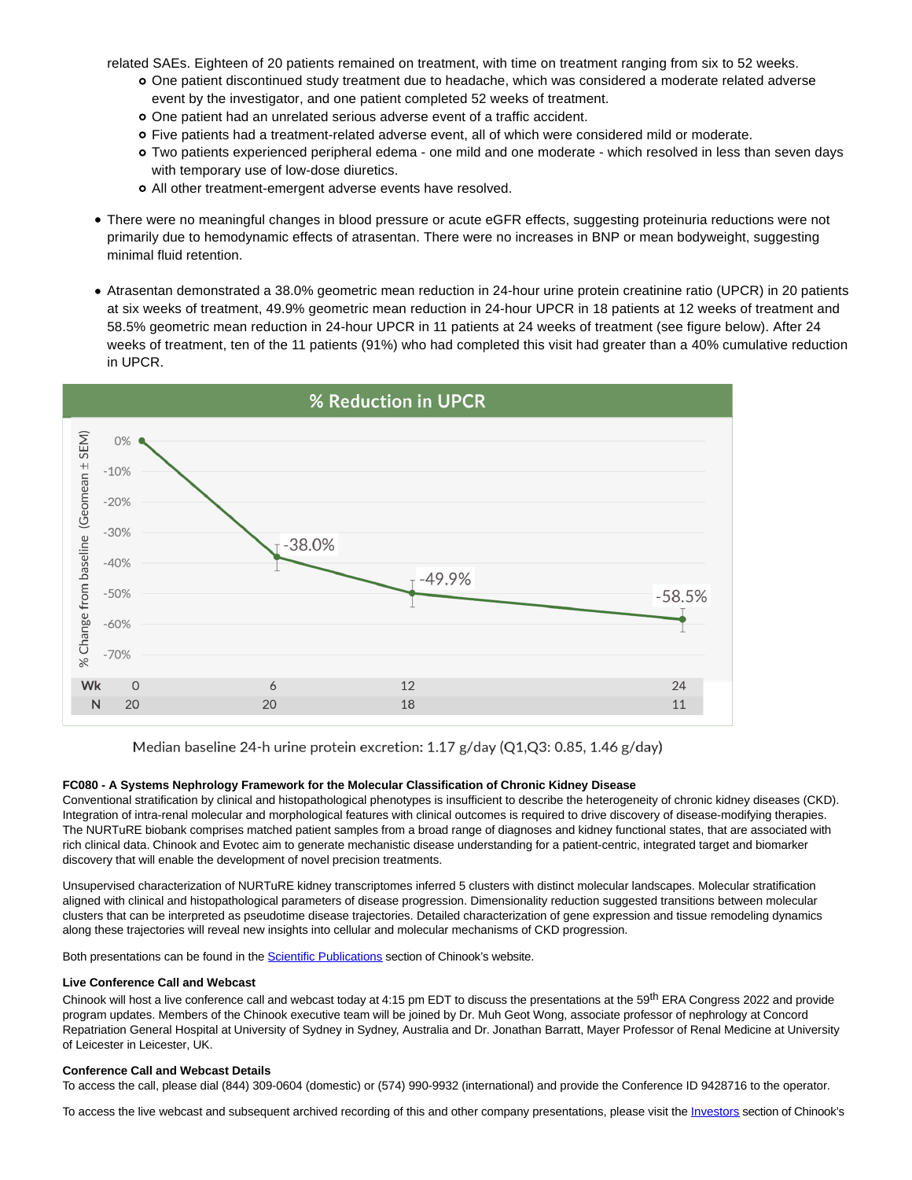related SAEs. Eighteen of 20 patients remained on treatment, with time on treatment ranging from six to 52 weeks.

- One patient discontinued study treatment due to headache, which was considered a moderate related adverse event by the investigator, and one patient completed 52 weeks of treatment.
- One patient had an unrelated serious adverse event of a traffic accident.
- Five patients had a treatment-related adverse event, all of which were considered mild or moderate.
- Two patients experienced peripheral edema one mild and one moderate which resolved in less than seven days with temporary use of low-dose diuretics.
- All other treatment-emergent adverse events have resolved.
- There were no meaningful changes in blood pressure or acute eGFR effects, suggesting proteinuria reductions were not primarily due to hemodynamic effects of atrasentan. There were no increases in BNP or mean bodyweight, suggesting minimal fluid retention.
- Atrasentan demonstrated a 38.0% geometric mean reduction in 24-hour urine protein creatinine ratio (UPCR) in 20 patients at six weeks of treatment, 49.9% geometric mean reduction in 24-hour UPCR in 18 patients at 12 weeks of treatment and 58.5% geometric mean reduction in 24-hour UPCR in 11 patients at 24 weeks of treatment (see figure below). After 24 weeks of treatment, ten of the 11 patients (91%) who had completed this visit had greater than a 40% cumulative reduction in UPCR.



Median baseline 24-h urine protein excretion: 1.17 g/day (Q1,Q3: 0.85, 1.46 g/day)

# **FC080 - A Systems Nephrology Framework for the Molecular Classification of Chronic Kidney Disease**

Conventional stratification by clinical and histopathological phenotypes is insufficient to describe the heterogeneity of chronic kidney diseases (CKD). Integration of intra-renal molecular and morphological features with clinical outcomes is required to drive discovery of disease-modifying therapies. The NURTuRE biobank comprises matched patient samples from a broad range of diagnoses and kidney functional states, that are associated with rich clinical data. Chinook and Evotec aim to generate mechanistic disease understanding for a patient-centric, integrated target and biomarker discovery that will enable the development of novel precision treatments.

Unsupervised characterization of NURTuRE kidney transcriptomes inferred 5 clusters with distinct molecular landscapes. Molecular stratification aligned with clinical and histopathological parameters of disease progression. Dimensionality reduction suggested transitions between molecular clusters that can be interpreted as pseudotime disease trajectories. Detailed characterization of gene expression and tissue remodeling dynamics along these trajectories will reveal new insights into cellular and molecular mechanisms of CKD progression.

Both presentations can be found in the **Scientific Publications** section of Chinook's website.

# **Live Conference Call and Webcast**

Chinook will host a live conference call and webcast today at 4:15 pm EDT to discuss the presentations at the 59<sup>th</sup> ERA Congress 2022 and provide program updates. Members of the Chinook executive team will be joined by Dr. Muh Geot Wong, associate professor of nephrology at Concord Repatriation General Hospital at University of Sydney in Sydney, Australia and Dr. Jonathan Barratt, Mayer Professor of Renal Medicine at University of Leicester in Leicester, UK.

# **Conference Call and Webcast Details**

To access the call, please dial (844) 309-0604 (domestic) or (574) 990-9932 (international) and provide the Conference ID 9428716 to the operator.

To access the live webcast and subsequent archived recording of this and other company presentations, please visit th[e Investors s](https://www.globenewswire.com/Tracker?data=kNVBb2MNXuUOfT39prAXf7f-RngRVtAH9brjV703KW71RaWBYeIR1iuX38fCuOHh2RWSJqWoo71BaWaeE1w9iWW3o9TSOd8q3rICunLadWHBb5u8MoloC4GN5TGbXq60eKKyt1DQNjZHZA4CnlfeIg==)ection of Chinook's